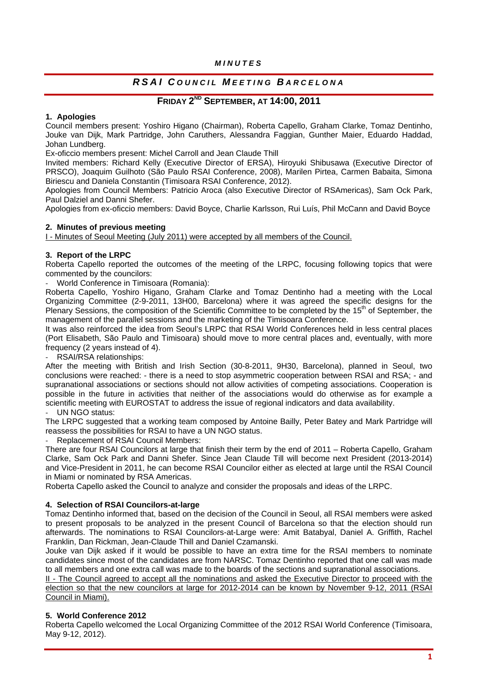# *MINUTES*

# *RSAI C OUNCIL M EETING B ARCELONA*

# **FRIDAY 2ND SEPTEMBER, AT 14:00, 2011**

# **1. Apologies**

Council members present: Yoshiro Higano (Chairman), Roberta Capello, Graham Clarke, Tomaz Dentinho, Jouke van Dijk, Mark Partridge, John Caruthers, Alessandra Faggian, Gunther Maier, Eduardo Haddad, Johan Lundberg.

Ex-oficcio members present: Michel Carroll and Jean Claude Thill

Invited members: Richard Kelly (Executive Director of ERSA), Hiroyuki Shibusawa (Executive Director of PRSCO), Joaquim Guilhoto (São Paulo RSAI Conference, 2008), Marilen Pirtea, Carmen Babaita, Simona Biriescu and Daniela Constantin (Timisoara RSAI Conference, 2012).

Apologies from Council Members: Patricio Aroca (also Executive Director of RSAmericas), Sam Ock Park, Paul Dalziel and Danni Shefer.

Apologies from ex-oficcio members: David Boyce, Charlie Karlsson, Rui Luís, Phil McCann and David Boyce

## **2. Minutes of previous meeting**

I - Minutes of Seoul Meeting (July 2011) were accepted by all members of the Council.

# **3. Report of the LRPC**

Roberta Capello reported the outcomes of the meeting of the LRPC, focusing following topics that were commented by the councilors:

‐ World Conference in Timisoara (Romania):

Roberta Capello, Yoshiro Higano, Graham Clarke and Tomaz Dentinho had a meeting with the Local Organizing Committee (2-9-2011, 13H00, Barcelona) where it was agreed the specific designs for the Plenary Sessions, the composition of the Scientific Committee to be completed by the 15<sup>th</sup> of September, the management of the parallel sessions and the marketing of the Timisoara Conference.

It was also reinforced the idea from Seoul's LRPC that RSAI World Conferences held in less central places (Port Elisabeth, São Paulo and Timisoara) should move to more central places and, eventually, with more frequency (2 years instead of 4).

‐ RSAI/RSA relationships:

After the meeting with British and Irish Section (30-8-2011, 9H30, Barcelona), planned in Seoul, two conclusions were reached: - there is a need to stop asymmetric cooperation between RSAI and RSA; - and supranational associations or sections should not allow activities of competing associations. Cooperation is possible in the future in activities that neither of the associations would do otherwise as for example a scientific meeting with EUROSTAT to address the issue of regional indicators and data availability.

#### UN NGO status:

The LRPC suggested that a working team composed by Antoine Bailly, Peter Batey and Mark Partridge will reassess the possibilities for RSAI to have a UN NGO status.

‐ Replacement of RSAI Council Members:

There are four RSAI Councilors at large that finish their term by the end of 2011 – Roberta Capello, Graham Clarke, Sam Ock Park and Danni Shefer. Since Jean Claude Till will become next President (2013-2014) and Vice-President in 2011, he can become RSAI Councilor either as elected at large until the RSAI Council in Miami or nominated by RSA Americas.

Roberta Capello asked the Council to analyze and consider the proposals and ideas of the LRPC.

## **4. Selection of RSAI Councilors-at-large**

Tomaz Dentinho informed that, based on the decision of the Council in Seoul, all RSAI members were asked to present proposals to be analyzed in the present Council of Barcelona so that the election should run afterwards. The nominations to RSAI Councilors-at-Large were: Amit Batabyal, Daniel A. Griffith, Rachel Franklin, Dan Rickman, Jean-Claude Thill and Daniel Czamanski.

Jouke van Dijk asked if it would be possible to have an extra time for the RSAI members to nominate candidates since most of the candidates are from NARSC. Tomaz Dentinho reported that one call was made to all members and one extra call was made to the boards of the sections and supranational associations.

II - The Council agreed to accept all the nominations and asked the Executive Director to proceed with the election so that the new councilors at large for 2012-2014 can be known by November 9-12, 2011 (RSAI Council in Miami).

## **5. World Conference 2012**

Roberta Capello welcomed the Local Organizing Committee of the 2012 RSAI World Conference (Timisoara, May 9-12, 2012).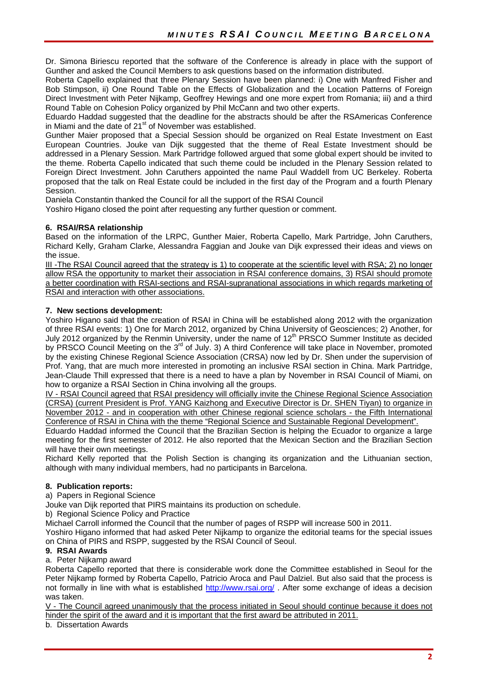Dr. Simona Biriescu reported that the software of the Conference is already in place with the support of Gunther and asked the Council Members to ask questions based on the information distributed.

Roberta Capello explained that three Plenary Session have been planned: i) One with Manfred Fisher and Bob Stimpson, ii) One Round Table on the Effects of Globalization and the Location Patterns of Foreign Direct Investment with Peter Nijkamp, Geoffrey Hewings and one more expert from Romania; iii) and a third Round Table on Cohesion Policy organized by Phil McCann and two other experts.

Eduardo Haddad suggested that the deadline for the abstracts should be after the RSAmericas Conference in Miami and the date of  $21<sup>st</sup>$  of November was established.

Gunther Maier proposed that a Special Session should be organized on Real Estate Investment on East European Countries. Jouke van Dijk suggested that the theme of Real Estate Investment should be addressed in a Plenary Session. Mark Partridge followed argued that some global expert should be invited to the theme. Roberta Capello indicated that such theme could be included in the Plenary Session related to Foreign Direct Investment. John Caruthers appointed the name Paul Waddell from UC Berkeley. Roberta proposed that the talk on Real Estate could be included in the first day of the Program and a fourth Plenary Session.

Daniela Constantin thanked the Council for all the support of the RSAI Council

Yoshiro Higano closed the point after requesting any further question or comment.

# **6. RSAI/RSA relationship**

Based on the information of the LRPC, Gunther Maier, Roberta Capello, Mark Partridge, John Caruthers, Richard Kelly, Graham Clarke, Alessandra Faggian and Jouke van Dijk expressed their ideas and views on the issue.

III -The RSAI Council agreed that the strategy is 1) to cooperate at the scientific level with RSA; 2) no longer allow RSA the opportunity to market their association in RSAI conference domains, 3) RSAI should promote a better coordination with RSAI-sections and RSAI-supranational associations in which regards marketing of RSAI and interaction with other associations.

# **7. New sections development:**

Yoshiro Higano said that the creation of RSAI in China will be established along 2012 with the organization of three RSAI events: 1) One for March 2012, organized by China University of Geosciences; 2) Another, for July 2012 organized by the Renmin University, under the name of 12<sup>th</sup> PRSCO Summer Institute as decided by PRSCO Council Meeting on the 3<sup>rd</sup> of July. 3) A third Conference will take place in November, promoted by the existing Chinese Regional Science Association (CRSA) now led by Dr. Shen under the supervision of Prof. Yang, that are much more interested in promoting an inclusive RSAI section in China. Mark Partridge, Jean-Claude Thill expressed that there is a need to have a plan by November in RSAI Council of Miami, on how to organize a RSAI Section in China involving all the groups.

IV - RSAI Council agreed that RSAI presidency will officially invite the Chinese Regional Science Association (CRSA) (current President is Prof. YANG Kaizhong and Executive Director is Dr. SHEN Tiyan) to organize in November 2012 - and in cooperation with other Chinese regional science scholars - the Fifth International Conference of RSAI in China with the theme "Regional Science and Sustainable Regional Development".

Eduardo Haddad informed the Council that the Brazilian Section is helping the Ecuador to organize a large meeting for the first semester of 2012. He also reported that the Mexican Section and the Brazilian Section will have their own meetings.

Richard Kelly reported that the Polish Section is changing its organization and the Lithuanian section, although with many individual members, had no participants in Barcelona.

## **8. Publication reports:**

a) Papers in Regional Science

Jouke van Dijk reported that PIRS maintains its production on schedule.

b) Regional Science Policy and Practice

Michael Carroll informed the Council that the number of pages of RSPP will increase 500 in 2011.

Yoshiro Higano informed that had asked Peter Nijkamp to organize the editorial teams for the special issues on China of PIRS and RSPP, suggested by the RSAI Council of Seoul.

## **9. RSAI Awards**

a. Peter Nijkamp award

Roberta Capello reported that there is considerable work done the Committee established in Seoul for the Peter Nijkamp formed by Roberta Capello, Patricio Aroca and Paul Dalziel. But also said that the process is not formally in line with what is established http://www.rsai.org/ . After some exchange of ideas a decision was taken.

V - The Council agreed unanimously that the process initiated in Seoul should continue because it does not hinder the spirit of the award and it is important that the first award be attributed in 2011.

b. Dissertation Awards